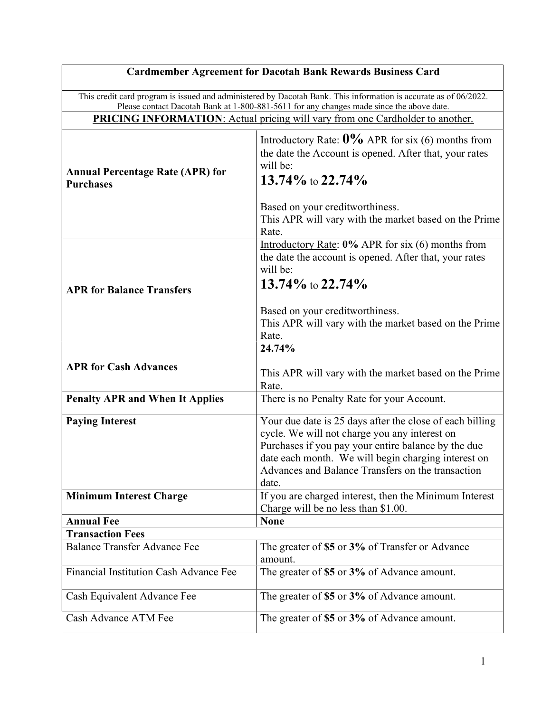| <b>Cardmember Agreement for Dacotah Bank Rewards Business Card</b>                                                                                                                                           |                                                                                                                                                                                                                                                                                       |
|--------------------------------------------------------------------------------------------------------------------------------------------------------------------------------------------------------------|---------------------------------------------------------------------------------------------------------------------------------------------------------------------------------------------------------------------------------------------------------------------------------------|
| This credit card program is issued and administered by Dacotah Bank. This information is accurate as of 06/2022.<br>Please contact Dacotah Bank at 1-800-881-5611 for any changes made since the above date. |                                                                                                                                                                                                                                                                                       |
| <b>PRICING INFORMATION:</b> Actual pricing will vary from one Cardholder to another.                                                                                                                         |                                                                                                                                                                                                                                                                                       |
| <b>Annual Percentage Rate (APR) for</b><br><b>Purchases</b>                                                                                                                                                  | Introductory Rate: $0\%$ APR for six (6) months from<br>the date the Account is opened. After that, your rates<br>will be:<br>13.74% to $22.74\%$                                                                                                                                     |
|                                                                                                                                                                                                              | Based on your creditworthiness.<br>This APR will vary with the market based on the Prime<br>Rate.                                                                                                                                                                                     |
|                                                                                                                                                                                                              | Introductory Rate: $0\%$ APR for six (6) months from<br>the date the account is opened. After that, your rates<br>will be:<br>13.74% to 22.74%                                                                                                                                        |
| <b>APR for Balance Transfers</b>                                                                                                                                                                             | Based on your creditworthiness.<br>This APR will vary with the market based on the Prime<br>Rate.                                                                                                                                                                                     |
|                                                                                                                                                                                                              | 24.74%                                                                                                                                                                                                                                                                                |
| <b>APR for Cash Advances</b>                                                                                                                                                                                 | This APR will vary with the market based on the Prime<br>Rate.                                                                                                                                                                                                                        |
| <b>Penalty APR and When It Applies</b>                                                                                                                                                                       | There is no Penalty Rate for your Account.                                                                                                                                                                                                                                            |
| <b>Paying Interest</b>                                                                                                                                                                                       | Your due date is 25 days after the close of each billing<br>cycle. We will not charge you any interest on<br>Purchases if you pay your entire balance by the due<br>date each month. We will begin charging interest on<br>Advances and Balance Transfers on the transaction<br>date. |
| <b>Minimum Interest Charge</b>                                                                                                                                                                               | If you are charged interest, then the Minimum Interest<br>Charge will be no less than \$1.00.                                                                                                                                                                                         |
| <b>Annual Fee</b>                                                                                                                                                                                            | <b>None</b>                                                                                                                                                                                                                                                                           |
| <b>Transaction Fees</b>                                                                                                                                                                                      |                                                                                                                                                                                                                                                                                       |
| <b>Balance Transfer Advance Fee</b>                                                                                                                                                                          | The greater of \$5 or 3% of Transfer or Advance<br>amount.                                                                                                                                                                                                                            |
| Financial Institution Cash Advance Fee                                                                                                                                                                       | The greater of \$5 or 3% of Advance amount.                                                                                                                                                                                                                                           |
| Cash Equivalent Advance Fee                                                                                                                                                                                  | The greater of \$5 or 3% of Advance amount.                                                                                                                                                                                                                                           |
| Cash Advance ATM Fee                                                                                                                                                                                         | The greater of \$5 or 3% of Advance amount.                                                                                                                                                                                                                                           |

┑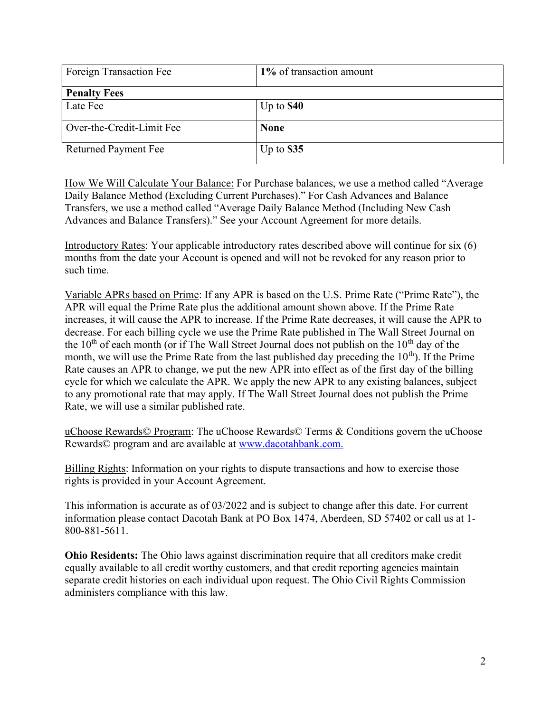| Foreign Transaction Fee     | 1% of transaction amount |
|-----------------------------|--------------------------|
| <b>Penalty Fees</b>         |                          |
| Late Fee                    | Up to $$40$              |
| Over-the-Credit-Limit Fee   | <b>None</b>              |
| <b>Returned Payment Fee</b> | Up to $$35$              |

How We Will Calculate Your Balance: For Purchase balances, we use a method called "Average Daily Balance Method (Excluding Current Purchases)." For Cash Advances and Balance Transfers, we use a method called "Average Daily Balance Method (Including New Cash Advances and Balance Transfers)." See your Account Agreement for more details.

Introductory Rates: Your applicable introductory rates described above will continue for six (6) months from the date your Account is opened and will not be revoked for any reason prior to such time.

Variable APRs based on Prime: If any APR is based on the U.S. Prime Rate ("Prime Rate"), the APR will equal the Prime Rate plus the additional amount shown above. If the Prime Rate increases, it will cause the APR to increase. If the Prime Rate decreases, it will cause the APR to decrease. For each billing cycle we use the Prime Rate published in The Wall Street Journal on the  $10<sup>th</sup>$  of each month (or if The Wall Street Journal does not publish on the  $10<sup>th</sup>$  day of the month, we will use the Prime Rate from the last published day preceding the  $10<sup>th</sup>$ ). If the Prime Rate causes an APR to change, we put the new APR into effect as of the first day of the billing cycle for which we calculate the APR. We apply the new APR to any existing balances, subject to any promotional rate that may apply. If The Wall Street Journal does not publish the Prime Rate, we will use a similar published rate.

uChoose Rewards© Program: The uChoose Rewards© Terms & Conditions govern the uChoose Rewards© program and are available at www.dacotahbank.com.

Billing Rights: Information on your rights to dispute transactions and how to exercise those rights is provided in your Account Agreement.

This information is accurate as of 03/2022 and is subject to change after this date. For current information please contact Dacotah Bank at PO Box 1474, Aberdeen, SD 57402 or call us at 1- 800-881-5611.

Ohio Residents: The Ohio laws against discrimination require that all creditors make credit equally available to all credit worthy customers, and that credit reporting agencies maintain separate credit histories on each individual upon request. The Ohio Civil Rights Commission administers compliance with this law.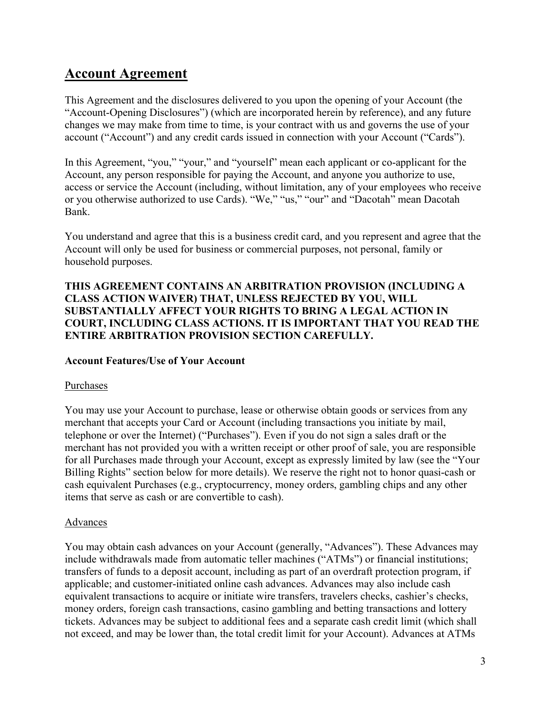# Account Agreement

This Agreement and the disclosures delivered to you upon the opening of your Account (the "Account-Opening Disclosures") (which are incorporated herein by reference), and any future changes we may make from time to time, is your contract with us and governs the use of your account ("Account") and any credit cards issued in connection with your Account ("Cards").

In this Agreement, "you," "your," and "yourself" mean each applicant or co-applicant for the Account, any person responsible for paying the Account, and anyone you authorize to use, access or service the Account (including, without limitation, any of your employees who receive or you otherwise authorized to use Cards). "We," "us," "our" and "Dacotah" mean Dacotah Bank.

You understand and agree that this is a business credit card, and you represent and agree that the Account will only be used for business or commercial purposes, not personal, family or household purposes.

# THIS AGREEMENT CONTAINS AN ARBITRATION PROVISION (INCLUDING A CLASS ACTION WAIVER) THAT, UNLESS REJECTED BY YOU, WILL SUBSTANTIALLY AFFECT YOUR RIGHTS TO BRING A LEGAL ACTION IN COURT, INCLUDING CLASS ACTIONS. IT IS IMPORTANT THAT YOU READ THE ENTIRE ARBITRATION PROVISION SECTION CAREFULLY.

# Account Features/Use of Your Account

### Purchases

You may use your Account to purchase, lease or otherwise obtain goods or services from any merchant that accepts your Card or Account (including transactions you initiate by mail, telephone or over the Internet) ("Purchases"). Even if you do not sign a sales draft or the merchant has not provided you with a written receipt or other proof of sale, you are responsible for all Purchases made through your Account, except as expressly limited by law (see the "Your Billing Rights" section below for more details). We reserve the right not to honor quasi-cash or cash equivalent Purchases (e.g., cryptocurrency, money orders, gambling chips and any other items that serve as cash or are convertible to cash).

### Advances

You may obtain cash advances on your Account (generally, "Advances"). These Advances may include withdrawals made from automatic teller machines ("ATMs") or financial institutions; transfers of funds to a deposit account, including as part of an overdraft protection program, if applicable; and customer-initiated online cash advances. Advances may also include cash equivalent transactions to acquire or initiate wire transfers, travelers checks, cashier's checks, money orders, foreign cash transactions, casino gambling and betting transactions and lottery tickets. Advances may be subject to additional fees and a separate cash credit limit (which shall not exceed, and may be lower than, the total credit limit for your Account). Advances at ATMs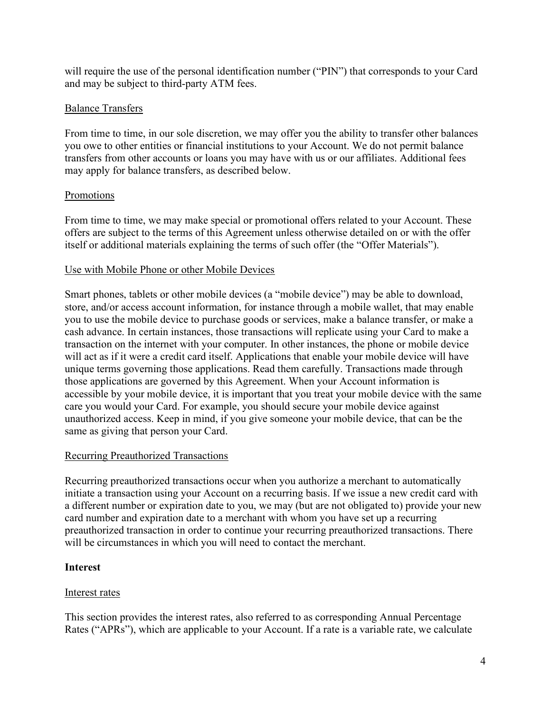will require the use of the personal identification number ("PIN") that corresponds to your Card and may be subject to third-party ATM fees.

# Balance Transfers

From time to time, in our sole discretion, we may offer you the ability to transfer other balances you owe to other entities or financial institutions to your Account. We do not permit balance transfers from other accounts or loans you may have with us or our affiliates. Additional fees may apply for balance transfers, as described below.

# **Promotions**

From time to time, we may make special or promotional offers related to your Account. These offers are subject to the terms of this Agreement unless otherwise detailed on or with the offer itself or additional materials explaining the terms of such offer (the "Offer Materials").

# Use with Mobile Phone or other Mobile Devices

Smart phones, tablets or other mobile devices (a "mobile device") may be able to download, store, and/or access account information, for instance through a mobile wallet, that may enable you to use the mobile device to purchase goods or services, make a balance transfer, or make a cash advance. In certain instances, those transactions will replicate using your Card to make a transaction on the internet with your computer. In other instances, the phone or mobile device will act as if it were a credit card itself. Applications that enable your mobile device will have unique terms governing those applications. Read them carefully. Transactions made through those applications are governed by this Agreement. When your Account information is accessible by your mobile device, it is important that you treat your mobile device with the same care you would your Card. For example, you should secure your mobile device against unauthorized access. Keep in mind, if you give someone your mobile device, that can be the same as giving that person your Card.

# Recurring Preauthorized Transactions

Recurring preauthorized transactions occur when you authorize a merchant to automatically initiate a transaction using your Account on a recurring basis. If we issue a new credit card with a different number or expiration date to you, we may (but are not obligated to) provide your new card number and expiration date to a merchant with whom you have set up a recurring preauthorized transaction in order to continue your recurring preauthorized transactions. There will be circumstances in which you will need to contact the merchant.

# **Interest**

# Interest rates

This section provides the interest rates, also referred to as corresponding Annual Percentage Rates ("APRs"), which are applicable to your Account. If a rate is a variable rate, we calculate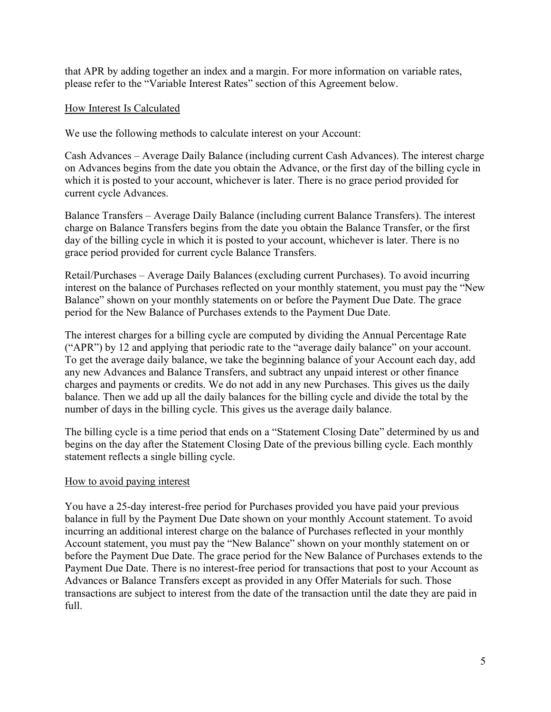that APR by adding together an index and a margin. For more information on variable rates, please refer to the "Variable Interest Rates" section of this Agreement below.

# How Interest Is Calculated

We use the following methods to calculate interest on your Account:

Cash Advances – Average Daily Balance (including current Cash Advances). The interest charge on Advances begins from the date you obtain the Advance, or the first day of the billing cycle in which it is posted to your account, whichever is later. There is no grace period provided for current cycle Advances.

Balance Transfers – Average Daily Balance (including current Balance Transfers). The interest charge on Balance Transfers begins from the date you obtain the Balance Transfer, or the first day of the billing cycle in which it is posted to your account, whichever is later. There is no grace period provided for current cycle Balance Transfers.

Retail/Purchases – Average Daily Balances (excluding current Purchases). To avoid incurring interest on the balance of Purchases reflected on your monthly statement, you must pay the "New Balance" shown on your monthly statements on or before the Payment Due Date. The grace period for the New Balance of Purchases extends to the Payment Due Date.

The interest charges for a billing cycle are computed by dividing the Annual Percentage Rate ("APR") by 12 and applying that periodic rate to the "average daily balance" on your account. To get the average daily balance, we take the beginning balance of your Account each day, add any new Advances and Balance Transfers, and subtract any unpaid interest or other finance charges and payments or credits. We do not add in any new Purchases. This gives us the daily balance. Then we add up all the daily balances for the billing cycle and divide the total by the number of days in the billing cycle. This gives us the average daily balance.

The billing cycle is a time period that ends on a "Statement Closing Date" determined by us and begins on the day after the Statement Closing Date of the previous billing cycle. Each monthly statement reflects a single billing cycle.

### How to avoid paying interest

You have a 25-day interest-free period for Purchases provided you have paid your previous balance in full by the Payment Due Date shown on your monthly Account statement. To avoid incurring an additional interest charge on the balance of Purchases reflected in your monthly Account statement, you must pay the "New Balance" shown on your monthly statement on or before the Payment Due Date. The grace period for the New Balance of Purchases extends to the Payment Due Date. There is no interest-free period for transactions that post to your Account as Advances or Balance Transfers except as provided in any Offer Materials for such. Those transactions are subject to interest from the date of the transaction until the date they are paid in full.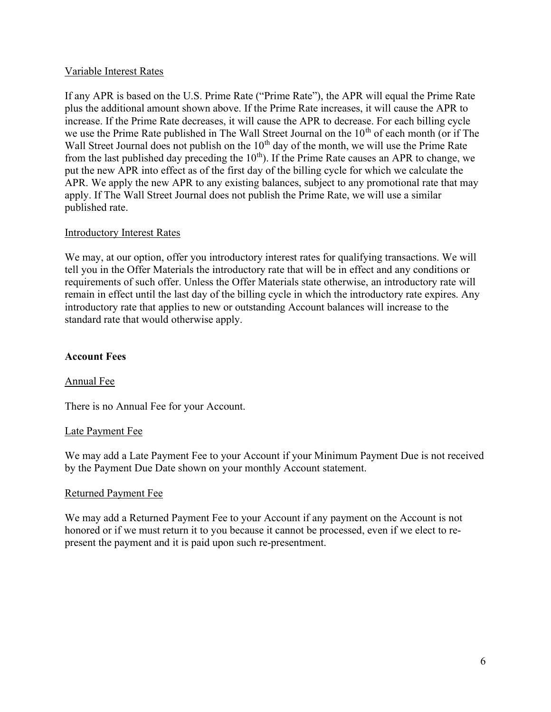### Variable Interest Rates

If any APR is based on the U.S. Prime Rate ("Prime Rate"), the APR will equal the Prime Rate plus the additional amount shown above. If the Prime Rate increases, it will cause the APR to increase. If the Prime Rate decreases, it will cause the APR to decrease. For each billing cycle we use the Prime Rate published in The Wall Street Journal on the 10<sup>th</sup> of each month (or if The Wall Street Journal does not publish on the  $10<sup>th</sup>$  day of the month, we will use the Prime Rate from the last published day preceding the  $10<sup>th</sup>$ . If the Prime Rate causes an APR to change, we put the new APR into effect as of the first day of the billing cycle for which we calculate the APR. We apply the new APR to any existing balances, subject to any promotional rate that may apply. If The Wall Street Journal does not publish the Prime Rate, we will use a similar published rate.

### Introductory Interest Rates

We may, at our option, offer you introductory interest rates for qualifying transactions. We will tell you in the Offer Materials the introductory rate that will be in effect and any conditions or requirements of such offer. Unless the Offer Materials state otherwise, an introductory rate will remain in effect until the last day of the billing cycle in which the introductory rate expires. Any introductory rate that applies to new or outstanding Account balances will increase to the standard rate that would otherwise apply.

### Account Fees

### Annual Fee

There is no Annual Fee for your Account.

### Late Payment Fee

We may add a Late Payment Fee to your Account if your Minimum Payment Due is not received by the Payment Due Date shown on your monthly Account statement.

### Returned Payment Fee

We may add a Returned Payment Fee to your Account if any payment on the Account is not honored or if we must return it to you because it cannot be processed, even if we elect to represent the payment and it is paid upon such re-presentment.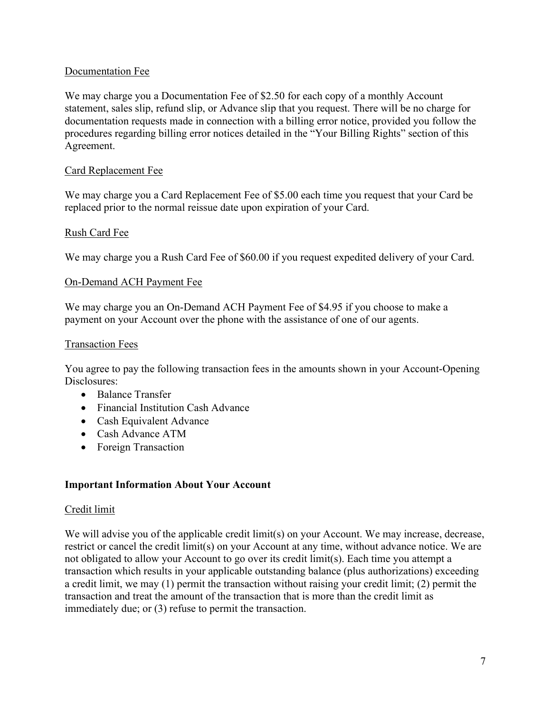# Documentation Fee

We may charge you a Documentation Fee of \$2.50 for each copy of a monthly Account statement, sales slip, refund slip, or Advance slip that you request. There will be no charge for documentation requests made in connection with a billing error notice, provided you follow the procedures regarding billing error notices detailed in the "Your Billing Rights" section of this Agreement.

### Card Replacement Fee

We may charge you a Card Replacement Fee of \$5.00 each time you request that your Card be replaced prior to the normal reissue date upon expiration of your Card.

### Rush Card Fee

We may charge you a Rush Card Fee of \$60.00 if you request expedited delivery of your Card.

### On-Demand ACH Payment Fee

We may charge you an On-Demand ACH Payment Fee of \$4.95 if you choose to make a payment on your Account over the phone with the assistance of one of our agents.

### Transaction Fees

You agree to pay the following transaction fees in the amounts shown in your Account-Opening Disclosures:

- Balance Transfer
- Financial Institution Cash Advance
- Cash Equivalent Advance
- Cash Advance ATM
- Foreign Transaction

### Important Information About Your Account

### Credit limit

We will advise you of the applicable credit limit(s) on your Account. We may increase, decrease, restrict or cancel the credit limit(s) on your Account at any time, without advance notice. We are not obligated to allow your Account to go over its credit limit(s). Each time you attempt a transaction which results in your applicable outstanding balance (plus authorizations) exceeding a credit limit, we may (1) permit the transaction without raising your credit limit; (2) permit the transaction and treat the amount of the transaction that is more than the credit limit as immediately due; or (3) refuse to permit the transaction.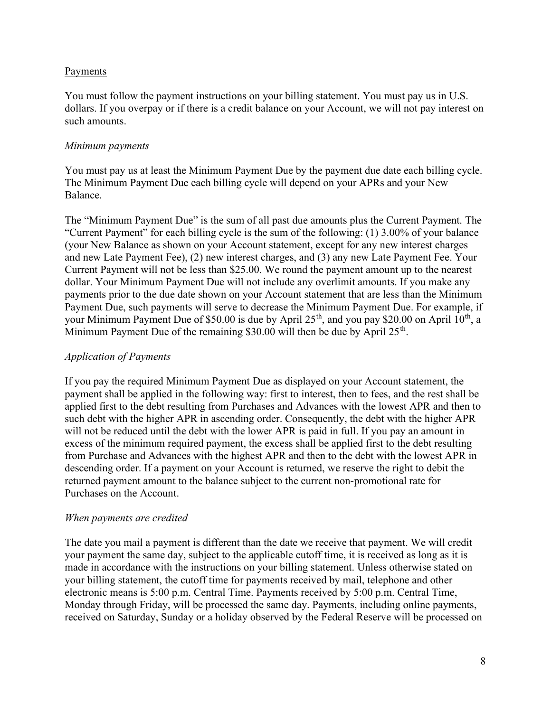### Payments

You must follow the payment instructions on your billing statement. You must pay us in U.S. dollars. If you overpay or if there is a credit balance on your Account, we will not pay interest on such amounts.

### Minimum payments

You must pay us at least the Minimum Payment Due by the payment due date each billing cycle. The Minimum Payment Due each billing cycle will depend on your APRs and your New Balance.

The "Minimum Payment Due" is the sum of all past due amounts plus the Current Payment. The "Current Payment" for each billing cycle is the sum of the following: (1) 3.00% of your balance (your New Balance as shown on your Account statement, except for any new interest charges and new Late Payment Fee), (2) new interest charges, and (3) any new Late Payment Fee. Your Current Payment will not be less than \$25.00. We round the payment amount up to the nearest dollar. Your Minimum Payment Due will not include any overlimit amounts. If you make any payments prior to the due date shown on your Account statement that are less than the Minimum Payment Due, such payments will serve to decrease the Minimum Payment Due. For example, if your Minimum Payment Due of \$50.00 is due by April  $25<sup>th</sup>$ , and you pay \$20.00 on April  $10<sup>th</sup>$ , a Minimum Payment Due of the remaining \$30.00 will then be due by April  $25<sup>th</sup>$ .

# Application of Payments

If you pay the required Minimum Payment Due as displayed on your Account statement, the payment shall be applied in the following way: first to interest, then to fees, and the rest shall be applied first to the debt resulting from Purchases and Advances with the lowest APR and then to such debt with the higher APR in ascending order. Consequently, the debt with the higher APR will not be reduced until the debt with the lower APR is paid in full. If you pay an amount in excess of the minimum required payment, the excess shall be applied first to the debt resulting from Purchase and Advances with the highest APR and then to the debt with the lowest APR in descending order. If a payment on your Account is returned, we reserve the right to debit the returned payment amount to the balance subject to the current non-promotional rate for Purchases on the Account.

### When payments are credited

The date you mail a payment is different than the date we receive that payment. We will credit your payment the same day, subject to the applicable cutoff time, it is received as long as it is made in accordance with the instructions on your billing statement. Unless otherwise stated on your billing statement, the cutoff time for payments received by mail, telephone and other electronic means is 5:00 p.m. Central Time. Payments received by 5:00 p.m. Central Time, Monday through Friday, will be processed the same day. Payments, including online payments, received on Saturday, Sunday or a holiday observed by the Federal Reserve will be processed on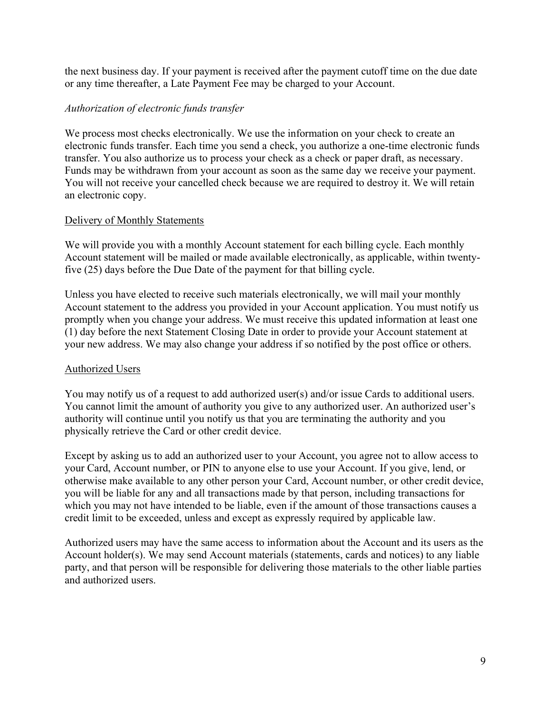the next business day. If your payment is received after the payment cutoff time on the due date or any time thereafter, a Late Payment Fee may be charged to your Account.

### Authorization of electronic funds transfer

We process most checks electronically. We use the information on your check to create an electronic funds transfer. Each time you send a check, you authorize a one-time electronic funds transfer. You also authorize us to process your check as a check or paper draft, as necessary. Funds may be withdrawn from your account as soon as the same day we receive your payment. You will not receive your cancelled check because we are required to destroy it. We will retain an electronic copy.

### Delivery of Monthly Statements

We will provide you with a monthly Account statement for each billing cycle. Each monthly Account statement will be mailed or made available electronically, as applicable, within twentyfive (25) days before the Due Date of the payment for that billing cycle.

Unless you have elected to receive such materials electronically, we will mail your monthly Account statement to the address you provided in your Account application. You must notify us promptly when you change your address. We must receive this updated information at least one (1) day before the next Statement Closing Date in order to provide your Account statement at your new address. We may also change your address if so notified by the post office or others.

### Authorized Users

You may notify us of a request to add authorized user(s) and/or issue Cards to additional users. You cannot limit the amount of authority you give to any authorized user. An authorized user's authority will continue until you notify us that you are terminating the authority and you physically retrieve the Card or other credit device.

Except by asking us to add an authorized user to your Account, you agree not to allow access to your Card, Account number, or PIN to anyone else to use your Account. If you give, lend, or otherwise make available to any other person your Card, Account number, or other credit device, you will be liable for any and all transactions made by that person, including transactions for which you may not have intended to be liable, even if the amount of those transactions causes a credit limit to be exceeded, unless and except as expressly required by applicable law.

Authorized users may have the same access to information about the Account and its users as the Account holder(s). We may send Account materials (statements, cards and notices) to any liable party, and that person will be responsible for delivering those materials to the other liable parties and authorized users.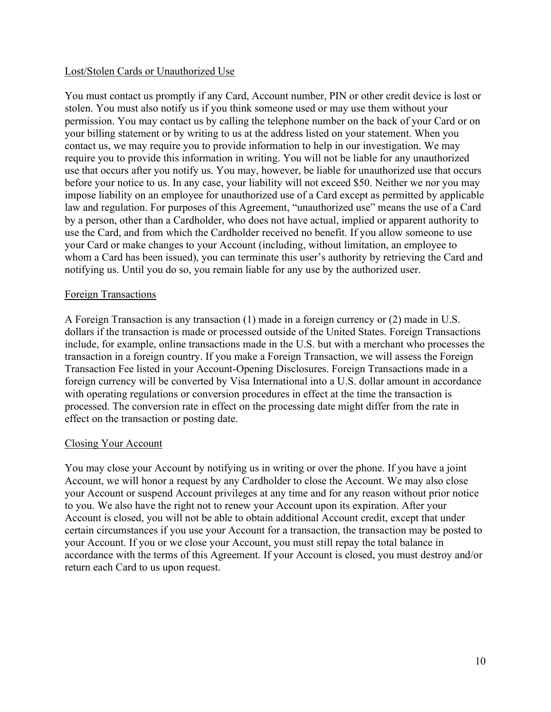### Lost/Stolen Cards or Unauthorized Use

You must contact us promptly if any Card, Account number, PIN or other credit device is lost or stolen. You must also notify us if you think someone used or may use them without your permission. You may contact us by calling the telephone number on the back of your Card or on your billing statement or by writing to us at the address listed on your statement. When you contact us, we may require you to provide information to help in our investigation. We may require you to provide this information in writing. You will not be liable for any unauthorized use that occurs after you notify us. You may, however, be liable for unauthorized use that occurs before your notice to us. In any case, your liability will not exceed \$50. Neither we nor you may impose liability on an employee for unauthorized use of a Card except as permitted by applicable law and regulation. For purposes of this Agreement, "unauthorized use" means the use of a Card by a person, other than a Cardholder, who does not have actual, implied or apparent authority to use the Card, and from which the Cardholder received no benefit. If you allow someone to use your Card or make changes to your Account (including, without limitation, an employee to whom a Card has been issued), you can terminate this user's authority by retrieving the Card and notifying us. Until you do so, you remain liable for any use by the authorized user.

### Foreign Transactions

A Foreign Transaction is any transaction (1) made in a foreign currency or (2) made in U.S. dollars if the transaction is made or processed outside of the United States. Foreign Transactions include, for example, online transactions made in the U.S. but with a merchant who processes the transaction in a foreign country. If you make a Foreign Transaction, we will assess the Foreign Transaction Fee listed in your Account-Opening Disclosures. Foreign Transactions made in a foreign currency will be converted by Visa International into a U.S. dollar amount in accordance with operating regulations or conversion procedures in effect at the time the transaction is processed. The conversion rate in effect on the processing date might differ from the rate in effect on the transaction or posting date.

### Closing Your Account

You may close your Account by notifying us in writing or over the phone. If you have a joint Account, we will honor a request by any Cardholder to close the Account. We may also close your Account or suspend Account privileges at any time and for any reason without prior notice to you. We also have the right not to renew your Account upon its expiration. After your Account is closed, you will not be able to obtain additional Account credit, except that under certain circumstances if you use your Account for a transaction, the transaction may be posted to your Account. If you or we close your Account, you must still repay the total balance in accordance with the terms of this Agreement. If your Account is closed, you must destroy and/or return each Card to us upon request.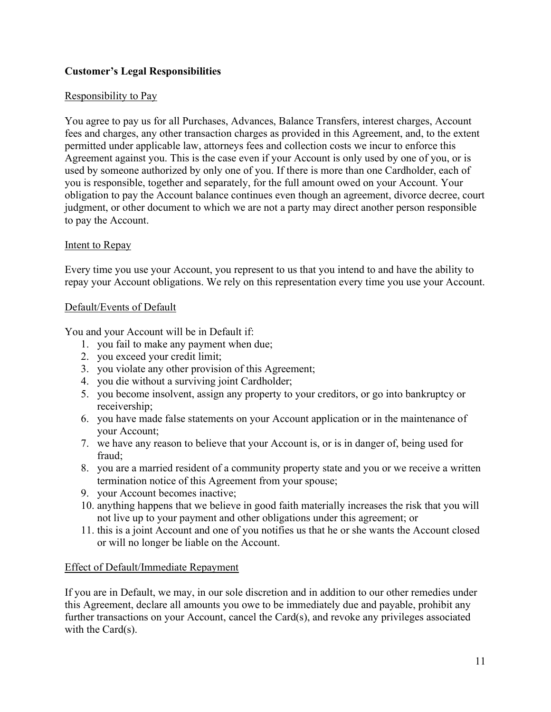# Customer's Legal Responsibilities

# Responsibility to Pay

You agree to pay us for all Purchases, Advances, Balance Transfers, interest charges, Account fees and charges, any other transaction charges as provided in this Agreement, and, to the extent permitted under applicable law, attorneys fees and collection costs we incur to enforce this Agreement against you. This is the case even if your Account is only used by one of you, or is used by someone authorized by only one of you. If there is more than one Cardholder, each of you is responsible, together and separately, for the full amount owed on your Account. Your obligation to pay the Account balance continues even though an agreement, divorce decree, court judgment, or other document to which we are not a party may direct another person responsible to pay the Account.

### Intent to Repay

Every time you use your Account, you represent to us that you intend to and have the ability to repay your Account obligations. We rely on this representation every time you use your Account.

### Default/Events of Default

You and your Account will be in Default if:

- 1. you fail to make any payment when due;
- 2. you exceed your credit limit;
- 3. you violate any other provision of this Agreement;
- 4. you die without a surviving joint Cardholder;
- 5. you become insolvent, assign any property to your creditors, or go into bankruptcy or receivership;
- 6. you have made false statements on your Account application or in the maintenance of your Account;
- 7. we have any reason to believe that your Account is, or is in danger of, being used for fraud;
- 8. you are a married resident of a community property state and you or we receive a written termination notice of this Agreement from your spouse;
- 9. your Account becomes inactive;
- 10. anything happens that we believe in good faith materially increases the risk that you will not live up to your payment and other obligations under this agreement; or
- 11. this is a joint Account and one of you notifies us that he or she wants the Account closed or will no longer be liable on the Account.

### Effect of Default/Immediate Repayment

If you are in Default, we may, in our sole discretion and in addition to our other remedies under this Agreement, declare all amounts you owe to be immediately due and payable, prohibit any further transactions on your Account, cancel the Card(s), and revoke any privileges associated with the Card(s).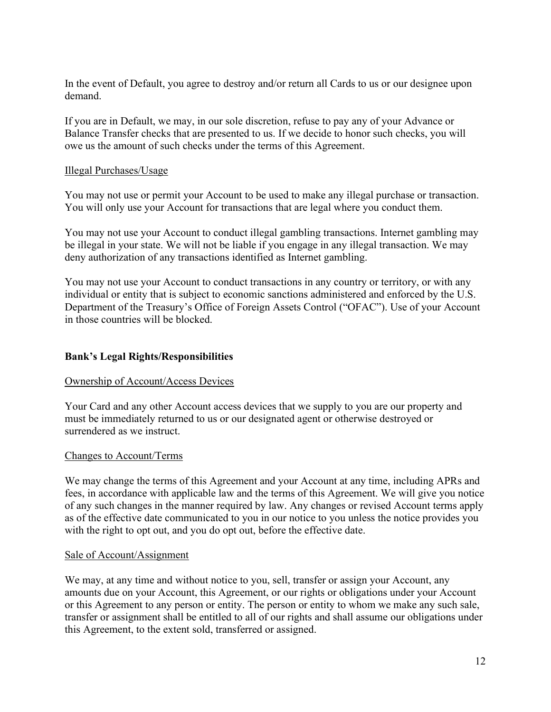In the event of Default, you agree to destroy and/or return all Cards to us or our designee upon demand.

If you are in Default, we may, in our sole discretion, refuse to pay any of your Advance or Balance Transfer checks that are presented to us. If we decide to honor such checks, you will owe us the amount of such checks under the terms of this Agreement.

### Illegal Purchases/Usage

You may not use or permit your Account to be used to make any illegal purchase or transaction. You will only use your Account for transactions that are legal where you conduct them.

You may not use your Account to conduct illegal gambling transactions. Internet gambling may be illegal in your state. We will not be liable if you engage in any illegal transaction. We may deny authorization of any transactions identified as Internet gambling.

You may not use your Account to conduct transactions in any country or territory, or with any individual or entity that is subject to economic sanctions administered and enforced by the U.S. Department of the Treasury's Office of Foreign Assets Control ("OFAC"). Use of your Account in those countries will be blocked.

# Bank's Legal Rights/Responsibilities

### Ownership of Account/Access Devices

Your Card and any other Account access devices that we supply to you are our property and must be immediately returned to us or our designated agent or otherwise destroyed or surrendered as we instruct.

### Changes to Account/Terms

We may change the terms of this Agreement and your Account at any time, including APRs and fees, in accordance with applicable law and the terms of this Agreement. We will give you notice of any such changes in the manner required by law. Any changes or revised Account terms apply as of the effective date communicated to you in our notice to you unless the notice provides you with the right to opt out, and you do opt out, before the effective date.

#### Sale of Account/Assignment

We may, at any time and without notice to you, sell, transfer or assign your Account, any amounts due on your Account, this Agreement, or our rights or obligations under your Account or this Agreement to any person or entity. The person or entity to whom we make any such sale, transfer or assignment shall be entitled to all of our rights and shall assume our obligations under this Agreement, to the extent sold, transferred or assigned.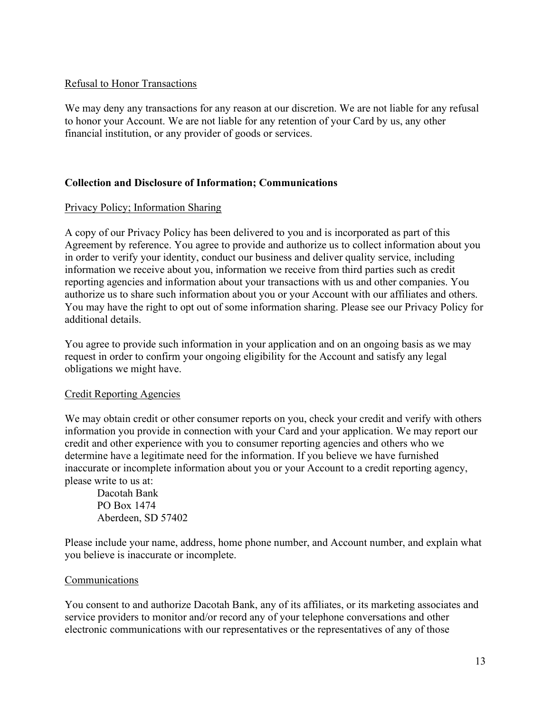### Refusal to Honor Transactions

We may deny any transactions for any reason at our discretion. We are not liable for any refusal to honor your Account. We are not liable for any retention of your Card by us, any other financial institution, or any provider of goods or services.

# Collection and Disclosure of Information; Communications

# Privacy Policy; Information Sharing

A copy of our Privacy Policy has been delivered to you and is incorporated as part of this Agreement by reference. You agree to provide and authorize us to collect information about you in order to verify your identity, conduct our business and deliver quality service, including information we receive about you, information we receive from third parties such as credit reporting agencies and information about your transactions with us and other companies. You authorize us to share such information about you or your Account with our affiliates and others. You may have the right to opt out of some information sharing. Please see our Privacy Policy for additional details.

You agree to provide such information in your application and on an ongoing basis as we may request in order to confirm your ongoing eligibility for the Account and satisfy any legal obligations we might have.

### Credit Reporting Agencies

We may obtain credit or other consumer reports on you, check your credit and verify with others information you provide in connection with your Card and your application. We may report our credit and other experience with you to consumer reporting agencies and others who we determine have a legitimate need for the information. If you believe we have furnished inaccurate or incomplete information about you or your Account to a credit reporting agency, please write to us at:

Dacotah Bank PO Box 1474 Aberdeen, SD 57402

Please include your name, address, home phone number, and Account number, and explain what you believe is inaccurate or incomplete.

# Communications

You consent to and authorize Dacotah Bank, any of its affiliates, or its marketing associates and service providers to monitor and/or record any of your telephone conversations and other electronic communications with our representatives or the representatives of any of those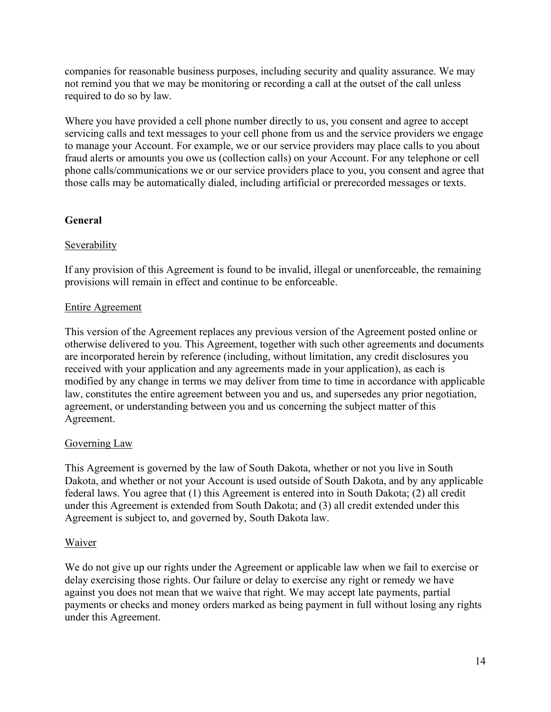companies for reasonable business purposes, including security and quality assurance. We may not remind you that we may be monitoring or recording a call at the outset of the call unless required to do so by law.

Where you have provided a cell phone number directly to us, you consent and agree to accept servicing calls and text messages to your cell phone from us and the service providers we engage to manage your Account. For example, we or our service providers may place calls to you about fraud alerts or amounts you owe us (collection calls) on your Account. For any telephone or cell phone calls/communications we or our service providers place to you, you consent and agree that those calls may be automatically dialed, including artificial or prerecorded messages or texts.

# General

# Severability

If any provision of this Agreement is found to be invalid, illegal or unenforceable, the remaining provisions will remain in effect and continue to be enforceable.

# Entire Agreement

This version of the Agreement replaces any previous version of the Agreement posted online or otherwise delivered to you. This Agreement, together with such other agreements and documents are incorporated herein by reference (including, without limitation, any credit disclosures you received with your application and any agreements made in your application), as each is modified by any change in terms we may deliver from time to time in accordance with applicable law, constitutes the entire agreement between you and us, and supersedes any prior negotiation, agreement, or understanding between you and us concerning the subject matter of this Agreement.

# Governing Law

This Agreement is governed by the law of South Dakota, whether or not you live in South Dakota, and whether or not your Account is used outside of South Dakota, and by any applicable federal laws. You agree that (1) this Agreement is entered into in South Dakota; (2) all credit under this Agreement is extended from South Dakota; and (3) all credit extended under this Agreement is subject to, and governed by, South Dakota law.

# **Waiver**

We do not give up our rights under the Agreement or applicable law when we fail to exercise or delay exercising those rights. Our failure or delay to exercise any right or remedy we have against you does not mean that we waive that right. We may accept late payments, partial payments or checks and money orders marked as being payment in full without losing any rights under this Agreement.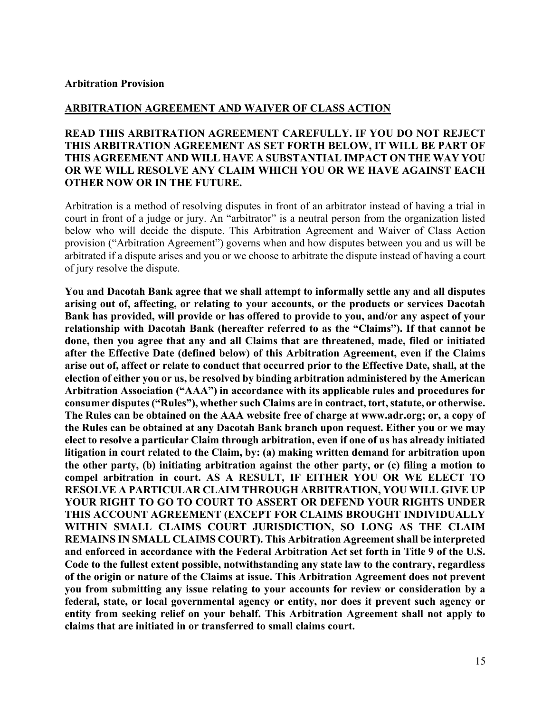#### Arbitration Provision

### ARBITRATION AGREEMENT AND WAIVER OF CLASS ACTION

# READ THIS ARBITRATION AGREEMENT CAREFULLY. IF YOU DO NOT REJECT THIS ARBITRATION AGREEMENT AS SET FORTH BELOW, IT WILL BE PART OF THIS AGREEMENT AND WILL HAVE A SUBSTANTIAL IMPACT ON THE WAY YOU OR WE WILL RESOLVE ANY CLAIM WHICH YOU OR WE HAVE AGAINST EACH OTHER NOW OR IN THE FUTURE.

Arbitration is a method of resolving disputes in front of an arbitrator instead of having a trial in court in front of a judge or jury. An "arbitrator" is a neutral person from the organization listed below who will decide the dispute. This Arbitration Agreement and Waiver of Class Action provision ("Arbitration Agreement") governs when and how disputes between you and us will be arbitrated if a dispute arises and you or we choose to arbitrate the dispute instead of having a court of jury resolve the dispute.

You and Dacotah Bank agree that we shall attempt to informally settle any and all disputes arising out of, affecting, or relating to your accounts, or the products or services Dacotah Bank has provided, will provide or has offered to provide to you, and/or any aspect of your relationship with Dacotah Bank (hereafter referred to as the "Claims"). If that cannot be done, then you agree that any and all Claims that are threatened, made, filed or initiated after the Effective Date (defined below) of this Arbitration Agreement, even if the Claims arise out of, affect or relate to conduct that occurred prior to the Effective Date, shall, at the election of either you or us, be resolved by binding arbitration administered by the American Arbitration Association ("AAA") in accordance with its applicable rules and procedures for consumer disputes ("Rules"), whether such Claims are in contract, tort, statute, or otherwise. The Rules can be obtained on the AAA website free of charge at www.adr.org; or, a copy of the Rules can be obtained at any Dacotah Bank branch upon request. Either you or we may elect to resolve a particular Claim through arbitration, even if one of us has already initiated litigation in court related to the Claim, by: (a) making written demand for arbitration upon the other party, (b) initiating arbitration against the other party, or (c) filing a motion to compel arbitration in court. AS A RESULT, IF EITHER YOU OR WE ELECT TO RESOLVE A PARTICULAR CLAIM THROUGH ARBITRATION, YOU WILL GIVE UP YOUR RIGHT TO GO TO COURT TO ASSERT OR DEFEND YOUR RIGHTS UNDER THIS ACCOUNT AGREEMENT (EXCEPT FOR CLAIMS BROUGHT INDIVIDUALLY WITHIN SMALL CLAIMS COURT JURISDICTION, SO LONG AS THE CLAIM REMAINS IN SMALL CLAIMS COURT). This Arbitration Agreement shall be interpreted and enforced in accordance with the Federal Arbitration Act set forth in Title 9 of the U.S. Code to the fullest extent possible, notwithstanding any state law to the contrary, regardless of the origin or nature of the Claims at issue. This Arbitration Agreement does not prevent you from submitting any issue relating to your accounts for review or consideration by a federal, state, or local governmental agency or entity, nor does it prevent such agency or entity from seeking relief on your behalf. This Arbitration Agreement shall not apply to claims that are initiated in or transferred to small claims court.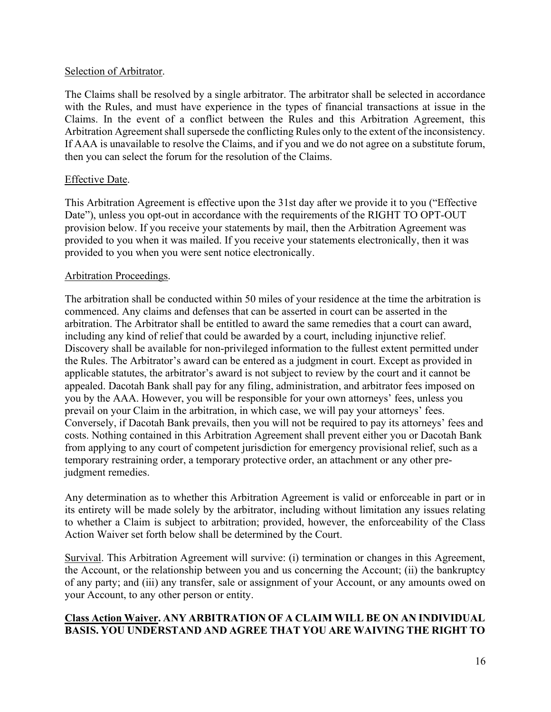### Selection of Arbitrator.

The Claims shall be resolved by a single arbitrator. The arbitrator shall be selected in accordance with the Rules, and must have experience in the types of financial transactions at issue in the Claims. In the event of a conflict between the Rules and this Arbitration Agreement, this Arbitration Agreement shall supersede the conflicting Rules only to the extent of the inconsistency. If AAA is unavailable to resolve the Claims, and if you and we do not agree on a substitute forum, then you can select the forum for the resolution of the Claims.

# Effective Date.

This Arbitration Agreement is effective upon the 31st day after we provide it to you ("Effective Date"), unless you opt-out in accordance with the requirements of the RIGHT TO OPT-OUT provision below. If you receive your statements by mail, then the Arbitration Agreement was provided to you when it was mailed. If you receive your statements electronically, then it was provided to you when you were sent notice electronically.

### Arbitration Proceedings.

The arbitration shall be conducted within 50 miles of your residence at the time the arbitration is commenced. Any claims and defenses that can be asserted in court can be asserted in the arbitration. The Arbitrator shall be entitled to award the same remedies that a court can award, including any kind of relief that could be awarded by a court, including injunctive relief. Discovery shall be available for non-privileged information to the fullest extent permitted under the Rules. The Arbitrator's award can be entered as a judgment in court. Except as provided in applicable statutes, the arbitrator's award is not subject to review by the court and it cannot be appealed. Dacotah Bank shall pay for any filing, administration, and arbitrator fees imposed on you by the AAA. However, you will be responsible for your own attorneys' fees, unless you prevail on your Claim in the arbitration, in which case, we will pay your attorneys' fees. Conversely, if Dacotah Bank prevails, then you will not be required to pay its attorneys' fees and costs. Nothing contained in this Arbitration Agreement shall prevent either you or Dacotah Bank from applying to any court of competent jurisdiction for emergency provisional relief, such as a temporary restraining order, a temporary protective order, an attachment or any other prejudgment remedies.

Any determination as to whether this Arbitration Agreement is valid or enforceable in part or in its entirety will be made solely by the arbitrator, including without limitation any issues relating to whether a Claim is subject to arbitration; provided, however, the enforceability of the Class Action Waiver set forth below shall be determined by the Court.

Survival. This Arbitration Agreement will survive: (i) termination or changes in this Agreement, the Account, or the relationship between you and us concerning the Account; (ii) the bankruptcy of any party; and (iii) any transfer, sale or assignment of your Account, or any amounts owed on your Account, to any other person or entity.

# Class Action Waiver. ANY ARBITRATION OF A CLAIM WILL BE ON AN INDIVIDUAL BASIS. YOU UNDERSTAND AND AGREE THAT YOU ARE WAIVING THE RIGHT TO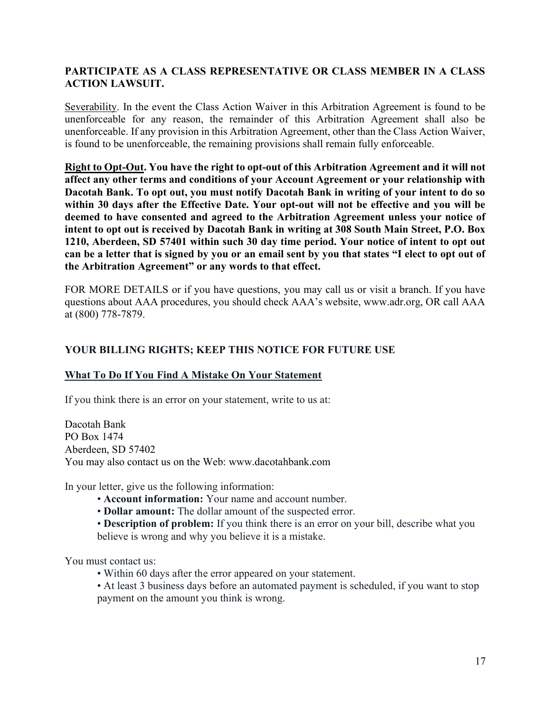# PARTICIPATE AS A CLASS REPRESENTATIVE OR CLASS MEMBER IN A CLASS ACTION LAWSUIT.

Severability. In the event the Class Action Waiver in this Arbitration Agreement is found to be unenforceable for any reason, the remainder of this Arbitration Agreement shall also be unenforceable. If any provision in this Arbitration Agreement, other than the Class Action Waiver, is found to be unenforceable, the remaining provisions shall remain fully enforceable.

Right to Opt-Out. You have the right to opt-out of this Arbitration Agreement and it will not affect any other terms and conditions of your Account Agreement or your relationship with Dacotah Bank. To opt out, you must notify Dacotah Bank in writing of your intent to do so within 30 days after the Effective Date. Your opt-out will not be effective and you will be deemed to have consented and agreed to the Arbitration Agreement unless your notice of intent to opt out is received by Dacotah Bank in writing at 308 South Main Street, P.O. Box 1210, Aberdeen, SD 57401 within such 30 day time period. Your notice of intent to opt out can be a letter that is signed by you or an email sent by you that states "I elect to opt out of the Arbitration Agreement" or any words to that effect.

FOR MORE DETAILS or if you have questions, you may call us or visit a branch. If you have questions about AAA procedures, you should check AAA's website, www.adr.org, OR call AAA at (800) 778-7879.

### YOUR BILLING RIGHTS; KEEP THIS NOTICE FOR FUTURE USE

### What To Do If You Find A Mistake On Your Statement

If you think there is an error on your statement, write to us at:

Dacotah Bank PO Box 1474 Aberdeen, SD 57402 You may also contact us on the Web: www.dacotahbank.com

In your letter, give us the following information:

- Account information: Your name and account number.
- Dollar amount: The dollar amount of the suspected error.
- Description of problem: If you think there is an error on your bill, describe what you believe is wrong and why you believe it is a mistake.

You must contact us:

- Within 60 days after the error appeared on your statement.
- At least 3 business days before an automated payment is scheduled, if you want to stop payment on the amount you think is wrong.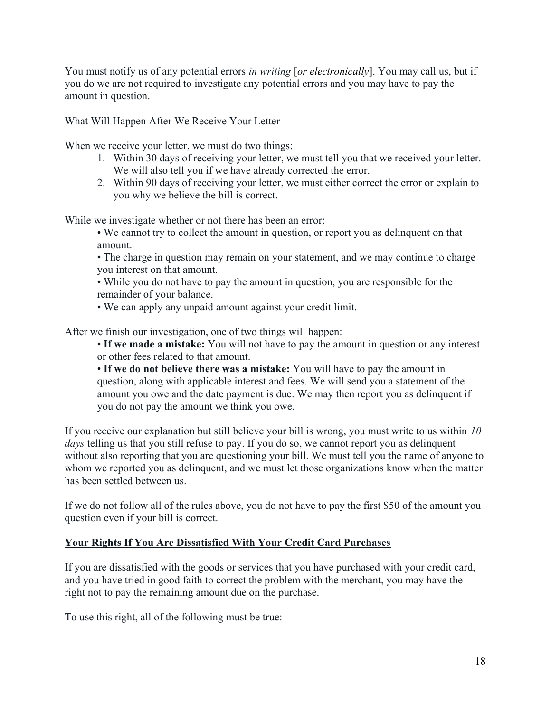You must notify us of any potential errors in writing [or electronically]. You may call us, but if you do we are not required to investigate any potential errors and you may have to pay the amount in question.

What Will Happen After We Receive Your Letter

When we receive your letter, we must do two things:

- 1. Within 30 days of receiving your letter, we must tell you that we received your letter. We will also tell you if we have already corrected the error.
- 2. Within 90 days of receiving your letter, we must either correct the error or explain to you why we believe the bill is correct.

While we investigate whether or not there has been an error:

• We cannot try to collect the amount in question, or report you as delinquent on that amount.

• The charge in question may remain on your statement, and we may continue to charge you interest on that amount.

• While you do not have to pay the amount in question, you are responsible for the remainder of your balance.

• We can apply any unpaid amount against your credit limit.

After we finish our investigation, one of two things will happen:

• If we made a mistake: You will not have to pay the amount in question or any interest or other fees related to that amount.

• If we do not believe there was a mistake: You will have to pay the amount in question, along with applicable interest and fees. We will send you a statement of the amount you owe and the date payment is due. We may then report you as delinquent if you do not pay the amount we think you owe.

If you receive our explanation but still believe your bill is wrong, you must write to us within  $10$ days telling us that you still refuse to pay. If you do so, we cannot report you as delinquent without also reporting that you are questioning your bill. We must tell you the name of anyone to whom we reported you as delinquent, and we must let those organizations know when the matter has been settled between us.

If we do not follow all of the rules above, you do not have to pay the first \$50 of the amount you question even if your bill is correct.

# Your Rights If You Are Dissatisfied With Your Credit Card Purchases

If you are dissatisfied with the goods or services that you have purchased with your credit card, and you have tried in good faith to correct the problem with the merchant, you may have the right not to pay the remaining amount due on the purchase.

To use this right, all of the following must be true: